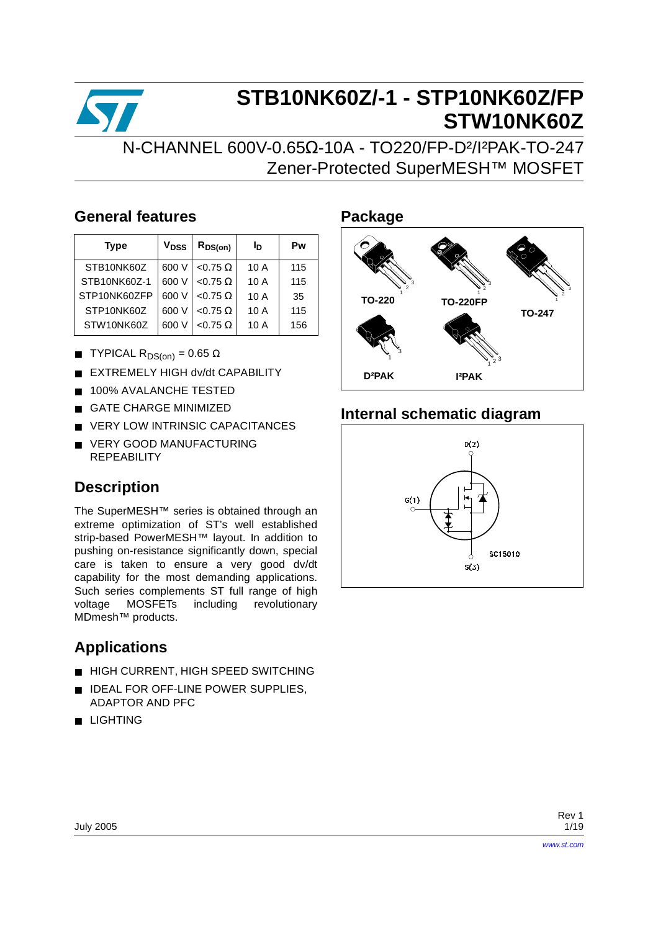

# **STB10NK60Z/-1 - STP10NK60Z/FP STW10NK60Z**

### N-CHANNEL 600V-0.65Ω-10A - TO220/FP-D²/I²PAK-TO-247 Zener-Protected SuperMESH™ MOSFET

### **General features**

| <b>Type</b>  | V <sub>DSS</sub> | $R_{DS(on)}$    | Iр   | Pw  |
|--------------|------------------|-----------------|------|-----|
| STB10NK60Z   | 600 V            | $< 0.75 \Omega$ | 10A  | 115 |
| STB10NK60Z-1 | 600 V            | $< 0.75 \Omega$ | 10A  | 115 |
| STP10NK60ZFP | 600 V            | $< 0.75 \Omega$ | 10A  | 35  |
| STP10NK60Z   | 600 V            | <0.75 $\Omega$  | 10A  | 115 |
| STW10NK60Z   | 600 V            | $< 0.75 \Omega$ | 10 A | 156 |

- **TYPICAL R**<sub>DS(on)</sub> = 0.65  $\Omega$
- **EXTREMELY HIGH dv/dt CAPABILITY**
- 100% AVALANCHE TESTED
- **GATE CHARGE MINIMIZED**
- VERY LOW INTRINSIC CAPACITANCES
- VERY GOOD MANUFACTURING REPEABILITY

### **Description**

The SuperMESH™ series is obtained through an extreme optimization of ST's well established strip-based PowerMESH™ layout. In addition to pushing on-resistance significantly down, special care is taken to ensure a very good dv/dt capability for the most demanding applications. Such series complements ST full range of high voltage MOSFETs including revolutionary MDmesh™ products.

### **Applications**

- HIGH CURRENT, HIGH SPEED SWITCHING
- IDEAL FOR OFF-LINE POWER SUPPLIES, ADAPTOR AND PFC
- LIGHTING

### **Package**



### **Internal schematic diagram**

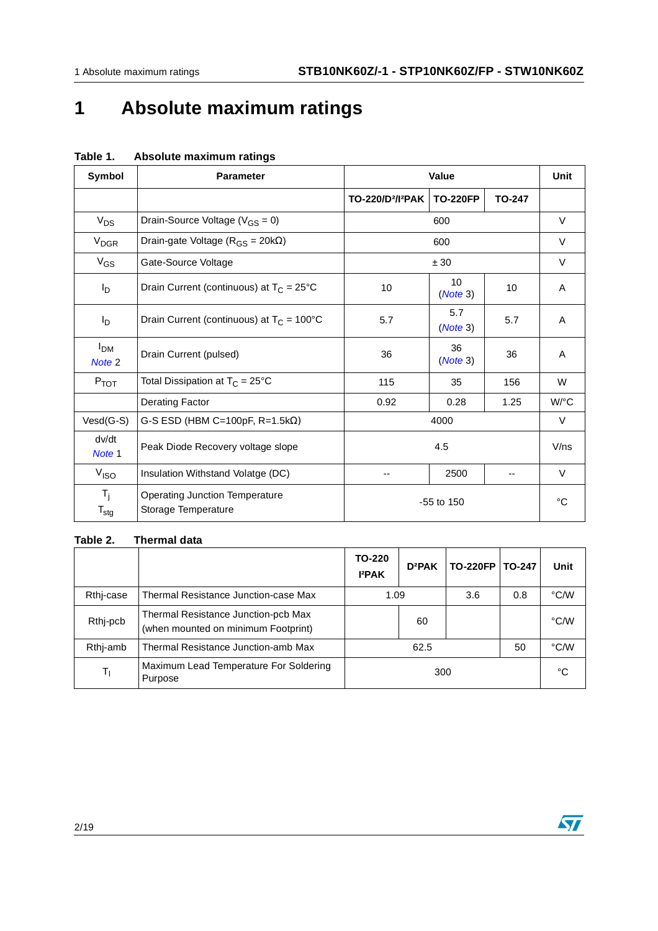# **1 Absolute maximum ratings**

| Symbol                                   | <b>Parameter</b>                                             |                                           | Value           |               | Unit   |
|------------------------------------------|--------------------------------------------------------------|-------------------------------------------|-----------------|---------------|--------|
|                                          |                                                              | TO-220/D <sup>2</sup> /l <sup>2</sup> PAK | <b>TO-220FP</b> | <b>TO-247</b> |        |
| $V_{DS}$                                 | Drain-Source Voltage ( $V_{GS} = 0$ )                        |                                           | 600             |               | $\vee$ |
| <b>V<sub>DGR</sub></b>                   | Drain-gate Voltage ( $R_{GS}$ = 20k $\Omega$ )               |                                           | 600             |               | V      |
| $V_{GS}$                                 | Gate-Source Voltage                                          |                                           | ± 30            |               |        |
| l <sub>D</sub>                           | Drain Current (continuous) at $T_C = 25^{\circ}C$            | 10                                        | 10<br>(Note 3)  | 10            | A      |
| l <sub>D</sub>                           | Drain Current (continuous) at $T_C = 100^{\circ}C$           | 5.7                                       | 5.7<br>(Note 3) | 5.7           | A      |
| I <sub>DM</sub><br>Note 2                | Drain Current (pulsed)                                       | 36                                        | 36<br>(Note 3)  | 36            | A      |
| $P_{TOT}$                                | Total Dissipation at $T_C = 25^{\circ}C$                     | 115                                       | 35              | 156           | W      |
|                                          | <b>Derating Factor</b>                                       | 0.92                                      | 0.28            | 1.25          | W/°C   |
| $Vesd(G-S)$                              | G-S ESD (HBM C=100pF, R=1.5k $\Omega$ )                      |                                           | 4000            |               | V      |
| dv/dt<br>Note 1                          | Peak Diode Recovery voltage slope                            |                                           | 4.5             |               | V/ns   |
| V <sub>ISO</sub>                         | Insulation Withstand Volatge (DC)                            |                                           | 2500            |               | $\vee$ |
| $T_{\rm i}$<br>$\mathsf{T}_{\text{stg}}$ | <b>Operating Junction Temperature</b><br>Storage Temperature |                                           | $-55$ to $150$  |               | °C     |

#### **Table 1. Absolute maximum ratings**

#### **Table 2. Thermal data**

|           |                                                                            | TO-220<br><b>I</b> <sup>2</sup> PAK | D <sup>2</sup> PAK | TO-220FP   TO-247 |     | Unit |
|-----------|----------------------------------------------------------------------------|-------------------------------------|--------------------|-------------------|-----|------|
| Rthj-case | Thermal Resistance Junction-case Max                                       | 1.09                                |                    | 3.6               | 0.8 | °C/W |
| Rthj-pcb  | Thermal Resistance Junction-pcb Max<br>(when mounted on minimum Footprint) |                                     | 60                 |                   |     | °C/W |
| Rthi-amb  | Thermal Resistance Junction-amb Max                                        |                                     | 62.5               |                   | 50  | °C/W |
| T,        | Maximum Lead Temperature For Soldering<br>Purpose                          |                                     | 300                |                   |     | °C   |

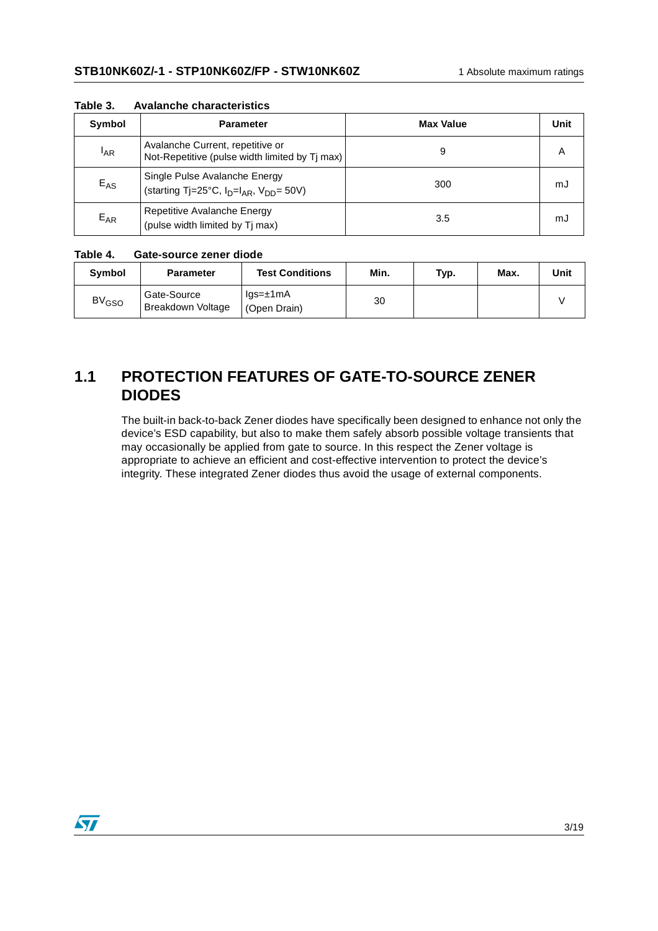| Symbol          | <b>Parameter</b>                                                                    | <b>Max Value</b> | Unit |
|-----------------|-------------------------------------------------------------------------------------|------------------|------|
| <sup>I</sup> AR | Avalanche Current, repetitive or<br>Not-Repetitive (pulse width limited by Tj max)  | 9                | A    |
| $E_{AS}$        | Single Pulse Avalanche Energy<br>(starting Tj=25°C, $I_D=I_{AR}$ , $V_{DD} = 50V$ ) | 300              | mJ   |
| $E_{AR}$        | Repetitive Avalanche Energy<br>(pulse width limited by Tj max)                      | 3.5              | mJ   |

**Table 3. Avalanche characteristics**

#### **Table 4. Gate-source zener diode**

| Symbol                  | <b>Parameter</b>                        | <b>Test Conditions</b>                       | Min. | Typ. | Max. | Unit |
|-------------------------|-----------------------------------------|----------------------------------------------|------|------|------|------|
| <b>BV<sub>GSO</sub></b> | Gate-Source<br><b>Breakdown Voltage</b> | $\text{las}=\pm 1 \text{mA}$<br>(Open Drain) | 30   |      |      |      |

### **1.1 PROTECTION FEATURES OF GATE-TO-SOURCE ZENER DIODES**

The built-in back-to-back Zener diodes have specifically been designed to enhance not only the device's ESD capability, but also to make them safely absorb possible voltage transients that may occasionally be applied from gate to source. In this respect the Zener voltage is appropriate to achieve an efficient and cost-effective intervention to protect the device's integrity. These integrated Zener diodes thus avoid the usage of external components.

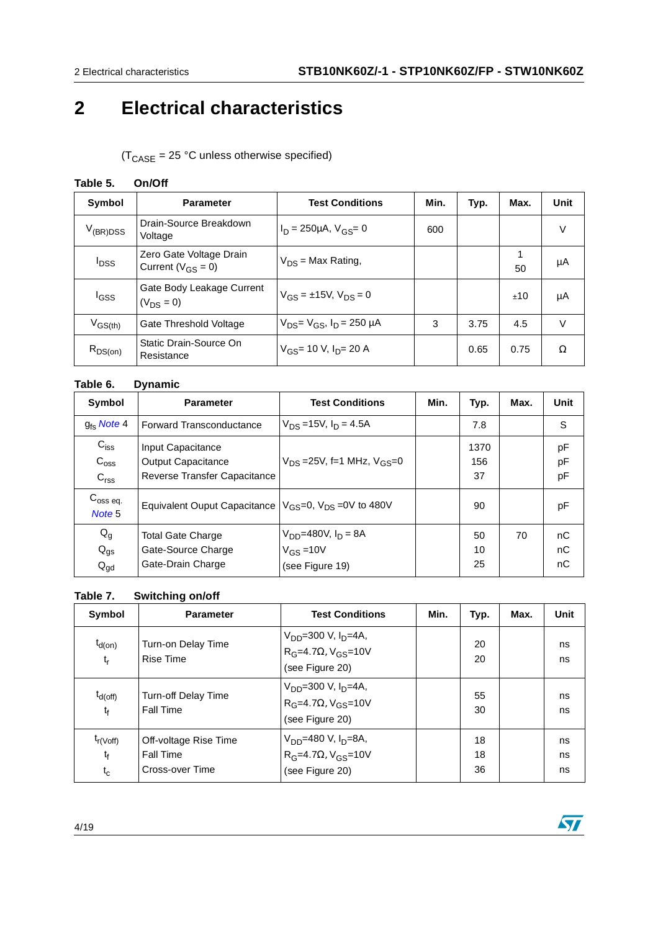## **2 Electrical characteristics**

 $(T_{\text{CASE}} = 25 \text{ °C}$  unless otherwise specified)

#### **Table 5. On/Off**

| Symbol                                   | <b>Parameter</b>                                    | <b>Test Conditions</b>                 | Min. | Typ. | Max. | Unit   |
|------------------------------------------|-----------------------------------------------------|----------------------------------------|------|------|------|--------|
| $V_{(BR)DSS}$                            | Drain-Source Breakdown<br>Voltage                   | $I_D = 250 \mu A$ , $V_{GS} = 0$       | 600  |      |      | V      |
| <sup>I</sup> DSS                         | Zero Gate Voltage Drain<br>Current ( $V_{GS} = 0$ ) | $V_{DS}$ = Max Rating,                 |      |      | 50   | μA     |
| <sup>I</sup> GSS                         | Gate Body Leakage Current<br>$(V_{DS} = 0)$         | $V_{GS} = \pm 15V$ , $V_{DS} = 0$      |      |      | ±10  | μA     |
| $V_{\rm GS(th)}$                         | Gate Threshold Voltage                              | $V_{DS} = V_{GS}$ , $I_D = 250 \mu A$  | 3    | 3.75 | 4.5  | $\vee$ |
| $\mathsf{R}_{\mathsf{DS}( \mathsf{on})}$ | Static Drain-Source On<br>Resistance                | $V_{GS}$ = 10 V, I <sub>D</sub> = 20 A |      | 0.65 | 0.75 | Ω      |

#### **Table 6. Dynamic**

| Symbol                                            | <b>Parameter</b>                                                               | <b>Test Conditions</b>                                         | Min. | Typ.              | Max. | Unit           |
|---------------------------------------------------|--------------------------------------------------------------------------------|----------------------------------------------------------------|------|-------------------|------|----------------|
| $g_{\text{fs}}$ Note 4                            | <b>Forward Transconductance</b>                                                | $V_{DS} = 15V$ , $I_D = 4.5A$                                  |      | 7.8               |      | S              |
| $C_{iss}$<br>$C_{\text{OSS}}$<br>C <sub>rss</sub> | Input Capacitance<br><b>Output Capacitance</b><br>Reverse Transfer Capacitance | $V_{DS} = 25V$ , f=1 MHz, $V_{GS} = 0$                         |      | 1370<br>156<br>37 |      | pF<br>pF<br>pF |
| $C_{\rm oss}$ eq.<br>Note 5                       | Equivalent Ouput Capacitance $ V_{GS}=0$ , $V_{DS}=0V$ to 480V                 |                                                                |      | 90                |      | pF             |
| $Q_g$<br>$Q_{gs}$<br>$Q_{gd}$                     | <b>Total Gate Charge</b><br>Gate-Source Charge<br>Gate-Drain Charge            | $V_{DD} = 480V, I_D = 8A$<br>$V_{GS} = 10V$<br>(see Figure 19) |      | 50<br>10<br>25    | 70   | nC<br>nC<br>nC |

#### **Table 7. Switching on/off**

| Symbol                            | <b>Parameter</b>                                             | <b>Test Conditions</b>                                                                                | Min. | Typ.           | Max. | Unit           |
|-----------------------------------|--------------------------------------------------------------|-------------------------------------------------------------------------------------------------------|------|----------------|------|----------------|
| $t_{d(on)}$<br>$t_{r}$            | Turn-on Delay Time<br><b>Rise Time</b>                       | $V_{DD}$ =300 V, I <sub>D</sub> =4A,<br>R <sub>G</sub> =4.7Ω, V <sub>GS</sub> =10V<br>(see Figure 20) |      | 20<br>20       |      | ns<br>ns       |
| $t_{d(off)}$<br>$t_{\rm f}$       | <b>Turn-off Delay Time</b><br><b>Fall Time</b>               | $V_{DD}$ =300 V, I <sub>D</sub> =4A,<br>R <sub>G</sub> =4.7Ω, V <sub>GS</sub> =10V<br>(see Figure 20) |      | 55<br>30       |      | ns<br>ns       |
| $t_{r(Voff)}$<br>$t_{f}$<br>$t_c$ | Off-voltage Rise Time<br><b>Fall Time</b><br>Cross-over Time | $V_{DD}$ =480 V, I <sub>D</sub> =8A,<br>R <sub>G</sub> =4.7Ω, V <sub>GS</sub> =10V<br>(see Figure 20) |      | 18<br>18<br>36 |      | ns<br>ns<br>ns |

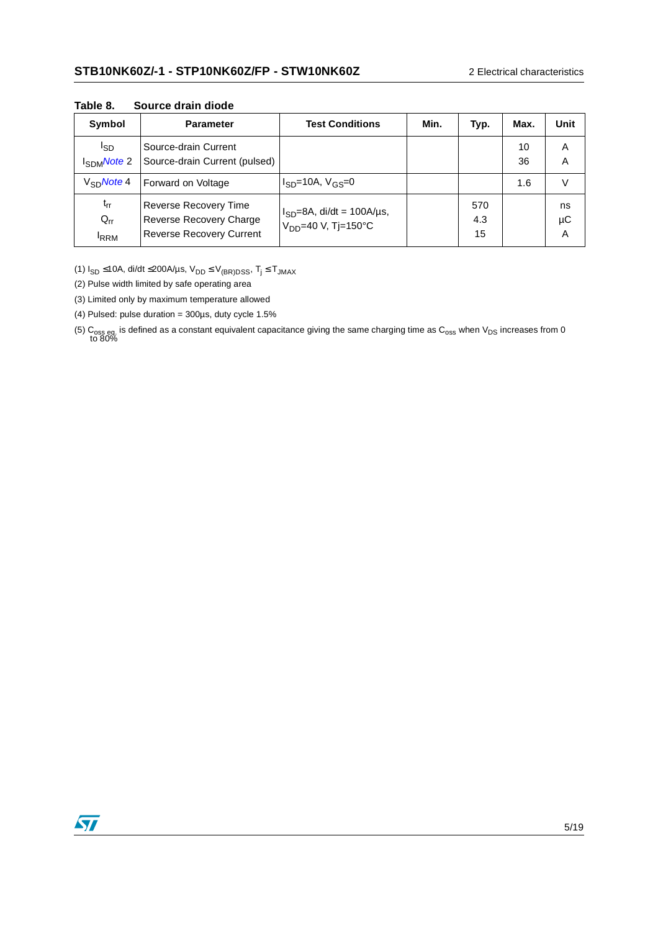| Symbol                              | <b>Parameter</b>                                                                    | <b>Test Conditions</b>                                                                | Min. | Typ.             | Max.     | Unit          |
|-------------------------------------|-------------------------------------------------------------------------------------|---------------------------------------------------------------------------------------|------|------------------|----------|---------------|
| l <sub>SD</sub><br>$I_{SDM}$ Note 2 | Source-drain Current<br>Source-drain Current (pulsed)                               |                                                                                       |      |                  | 10<br>36 | A<br>A        |
| $V_{\rm SD}$ Note 4                 | Forward on Voltage                                                                  | $I_{SD}$ =10A, $V_{GS}$ =0                                                            |      |                  | 1.6      | v             |
| $t_{rr}$<br>$Q_{rr}$<br><b>IRRM</b> | Reverse Recovery Time<br>Reverse Recovery Charge<br><b>Reverse Recovery Current</b> | $I_{SD} = 8A$ , di/dt = 100A/µs,<br>$V_{DD} = 40 \text{ V}, T = 150^{\circ} \text{C}$ |      | 570<br>4.3<br>15 |          | ns<br>μC<br>A |

**Table 8. Source drain diode** 

(1)  $I_{SD} \le 10A$ , di/dt  $\le 200A/\mu s$ ,  $V_{DD} \le V_{(BR)DSS}$ ,  $T_j \le T_{JMAX}$ 

<span id="page-4-1"></span>(2) Pulse width limited by safe operating area

<span id="page-4-0"></span>(3) Limited only by maximum temperature allowed

<span id="page-4-2"></span>(4) Pulsed: pulse duration = 300µs, duty cycle 1.5%

(5)  $C_{\rm oss}$  eq. is defined as a constant equivalent capacitance giving the same charging time as  $C_{\rm oss}$  when  $V_{\rm DS}$  increases from 0 to 80%

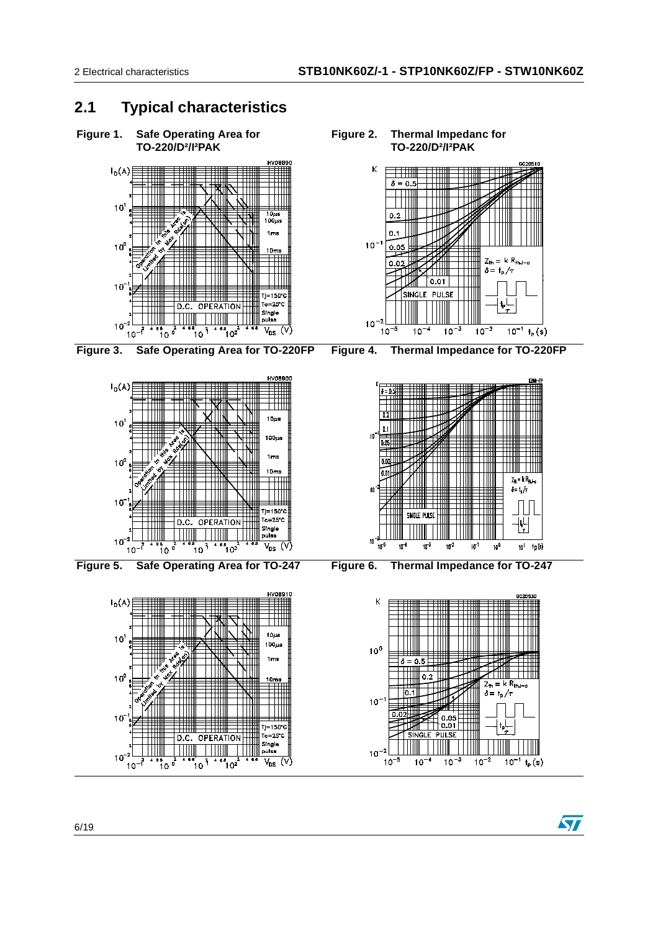### **2.1 Typical characteristics**



 $|0.1$ 

SINGLE

 $\frac{1}{10^{-4}}$ 

 $0.05$ ╕

 $0.01$ 

 $\frac{1}{10^{-3}}$ 

PULSE

 $10^{-1}$ 

 $10^{-2}$ 

 $10^{-5}$ 

Tj=150°0

 $V_{DS}$  (V)

.<br>Tc=25'

OPERATION

 $\mathcal{L}$ 

ໍຳ 0<sup>2</sup>

 $\frac{10^{8}}{10^{3}}$ 

D.C.

ຳ ວ

 $\delta = \frac{1}{2} \int_T$ 

 $10^{-1}$  t<sub>p</sub> (s)

**S7** 

 $\frac{1}{10^{-2}}$ 

 $1<sub>c</sub>$ 

 $10<sup>7</sup>$ 

 $10^{-1}$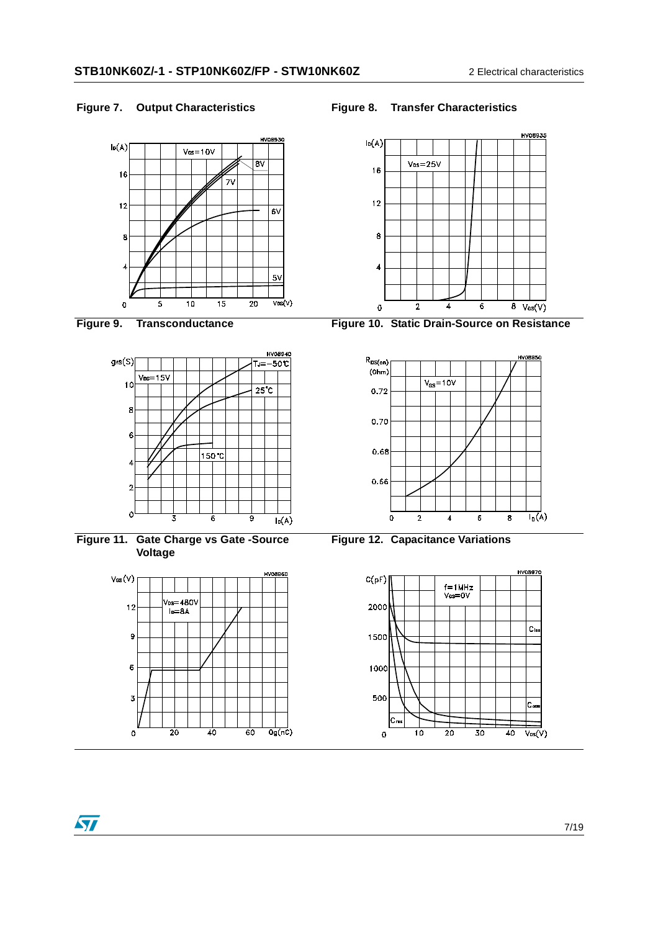





**Figure 11. Gate Charge vs Gate -Source Voltage**



### Figure 7. Output Characteristics **Figure 8. Transfer Characteristics**



**Figure 9. Transconductance Figure 10. Static Drain-Source on Resistance**





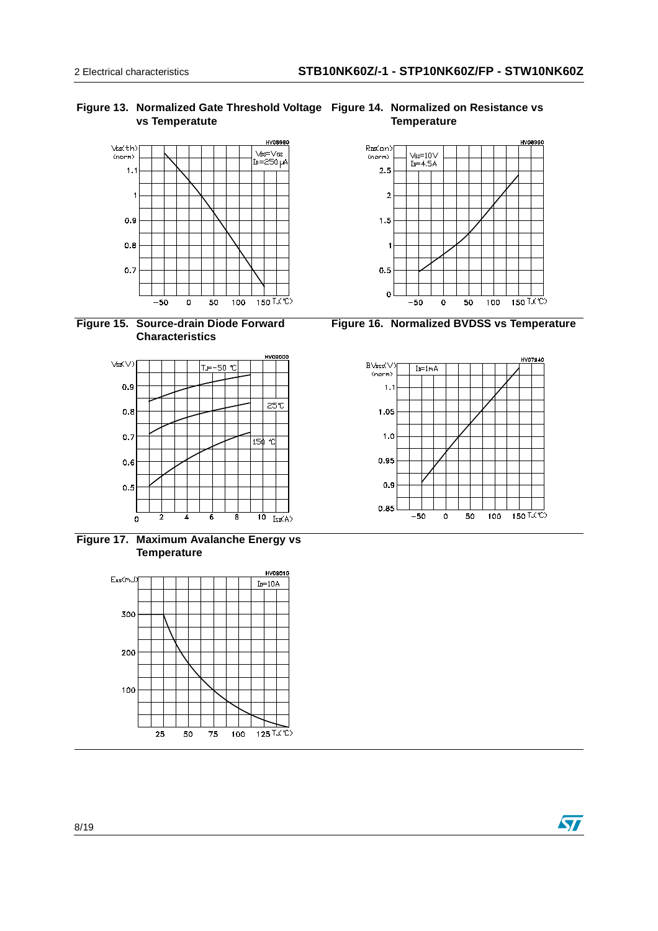#### **Figure 13. Normalized Gate Threshold Voltage Figure 14. Normalized on Resistance vs vs Temperatute**







**Figure 17. Maximum Avalanche Energy vs Temperature**



**Temperature**



**Figure 16. Normalized BVDSS vs Temperature**

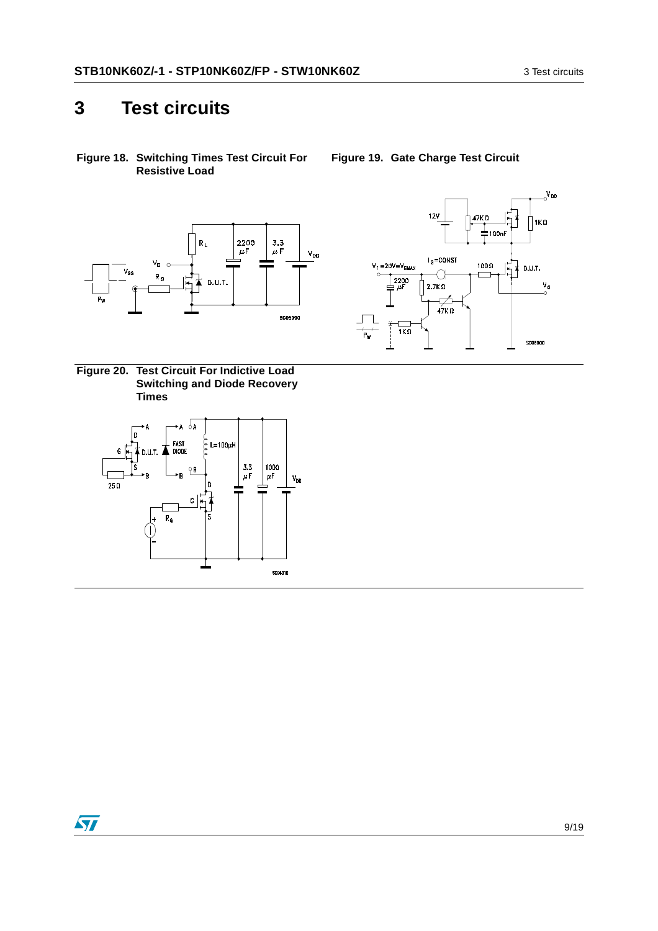### **3 Test circuits**

**Figure 18. Switching Times Test Circuit For Resistive Load**



<span id="page-8-1"></span>**Figure 20. Test Circuit For Indictive Load Switching and Diode Recovery Times**





<span id="page-8-0"></span>**Figure 19. Gate Charge Test Circuit**

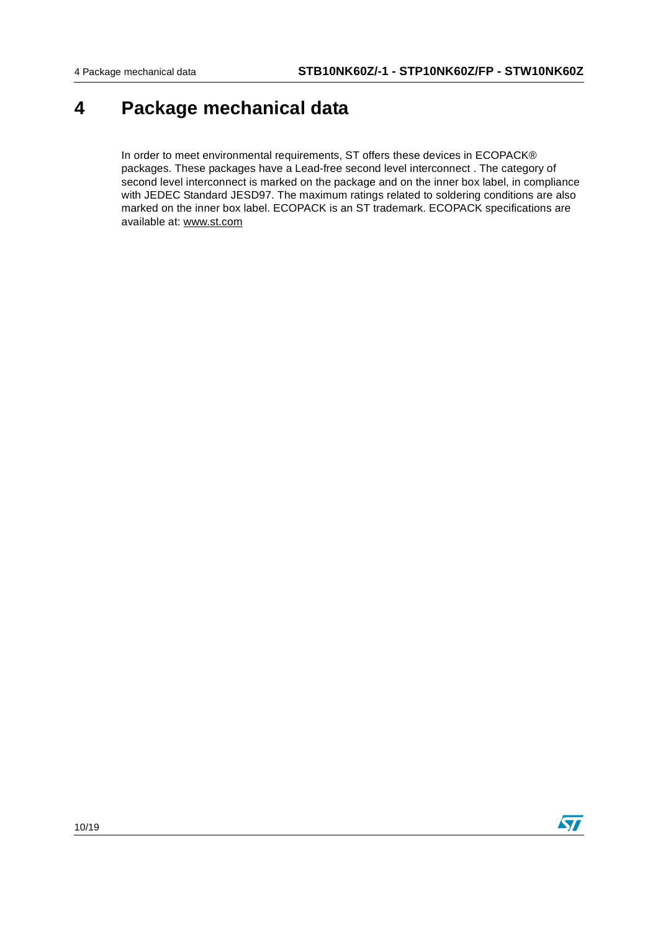### **4 Package mechanical data**

In order to meet environmental requirements, ST offers these devices in ECOPACK® packages. These packages have a Lead-free second level interconnect . The category of second level interconnect is marked on the package and on the inner box label, in compliance with JEDEC Standard JESD97. The maximum ratings related to soldering conditions are also marked on the inner box label. ECOPACK is an ST trademark. ECOPACK specifications are available at: www.st.com

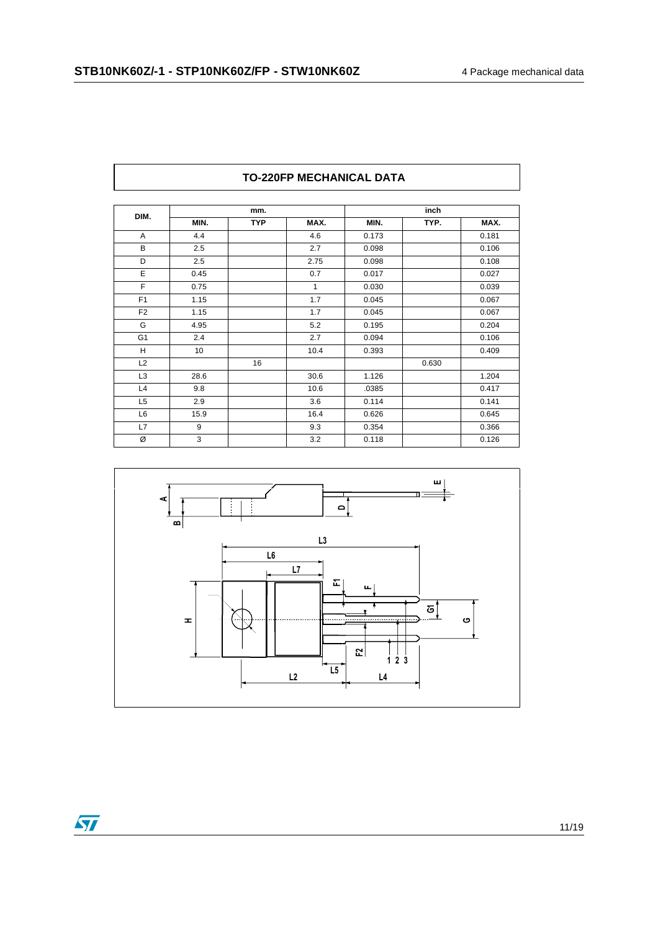| DIM.           |      | mm.        |      |       | inch  |       |
|----------------|------|------------|------|-------|-------|-------|
|                | MIN. | <b>TYP</b> | MAX. | MIN.  | TYP.  | MAX.  |
| A              | 4.4  |            | 4.6  | 0.173 |       | 0.181 |
| B              | 2.5  |            | 2.7  | 0.098 |       | 0.106 |
| D              | 2.5  |            | 2.75 | 0.098 |       | 0.108 |
| E              | 0.45 |            | 0.7  | 0.017 |       | 0.027 |
| F              | 0.75 |            | 1    | 0.030 |       | 0.039 |
| F <sub>1</sub> | 1.15 |            | 1.7  | 0.045 |       | 0.067 |
| F <sub>2</sub> | 1.15 |            | 1.7  | 0.045 |       | 0.067 |
| G              | 4.95 |            | 5.2  | 0.195 |       | 0.204 |
| G <sub>1</sub> | 2.4  |            | 2.7  | 0.094 |       | 0.106 |
| H              | 10   |            | 10.4 | 0.393 |       | 0.409 |
| L2             |      | 16         |      |       | 0.630 |       |
| L <sub>3</sub> | 28.6 |            | 30.6 | 1.126 |       | 1.204 |
| L4             | 9.8  |            | 10.6 | .0385 |       | 0.417 |
| L <sub>5</sub> | 2.9  |            | 3.6  | 0.114 |       | 0.141 |
| L6             | 15.9 |            | 16.4 | 0.626 |       | 0.645 |
| L7             | 9    |            | 9.3  | 0.354 |       | 0.366 |
| Ø              | 3    |            | 3.2  | 0.118 |       | 0.126 |

#### **TO-220FP MECHANICAL DATA**



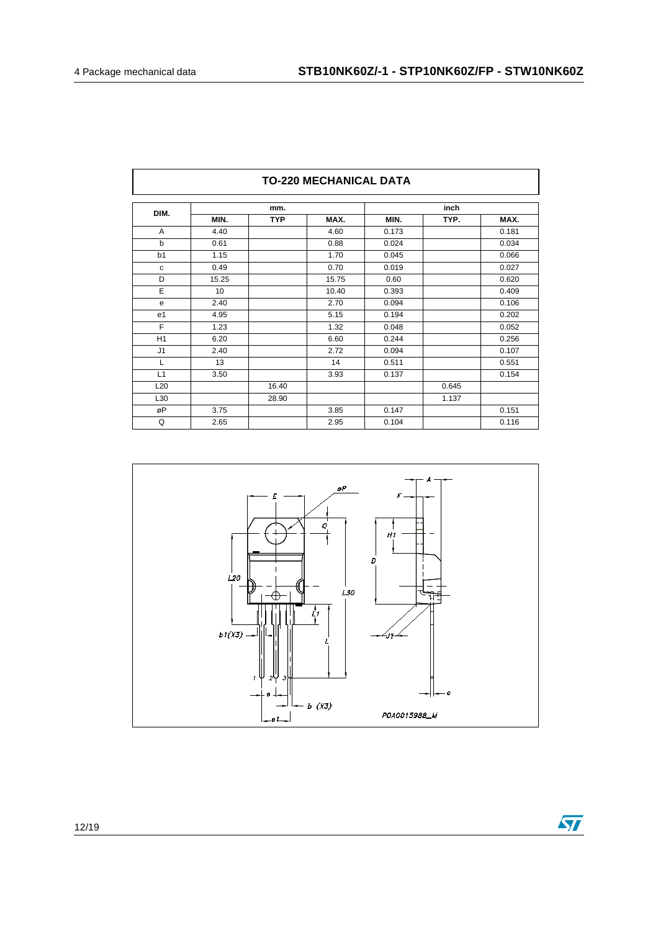| DIM.           |       | mm.        |       |       | inch  |       |
|----------------|-------|------------|-------|-------|-------|-------|
|                | MIN.  | <b>TYP</b> | MAX.  | MIN.  | TYP.  | MAX.  |
| A              | 4.40  |            | 4.60  | 0.173 |       | 0.181 |
| b              | 0.61  |            | 0.88  | 0.024 |       | 0.034 |
| b <sub>1</sub> | 1.15  |            | 1.70  | 0.045 |       | 0.066 |
| с              | 0.49  |            | 0.70  | 0.019 |       | 0.027 |
| D              | 15.25 |            | 15.75 | 0.60  |       | 0.620 |
| E              | 10    |            | 10.40 | 0.393 |       | 0.409 |
| е              | 2.40  |            | 2.70  | 0.094 |       | 0.106 |
| e <sub>1</sub> | 4.95  |            | 5.15  | 0.194 |       | 0.202 |
| F              | 1.23  |            | 1.32  | 0.048 |       | 0.052 |
| H <sub>1</sub> | 6.20  |            | 6.60  | 0.244 |       | 0.256 |
| J <sub>1</sub> | 2.40  |            | 2.72  | 0.094 |       | 0.107 |
| L              | 13    |            | 14    | 0.511 |       | 0.551 |
| L1             | 3.50  |            | 3.93  | 0.137 |       | 0.154 |
| L20            |       | 16.40      |       |       | 0.645 |       |
| L30            |       | 28.90      |       |       | 1.137 |       |
| øP             | 3.75  |            | 3.85  | 0.147 |       | 0.151 |
| Q              | 2.65  |            | 2.95  | 0.104 |       | 0.116 |



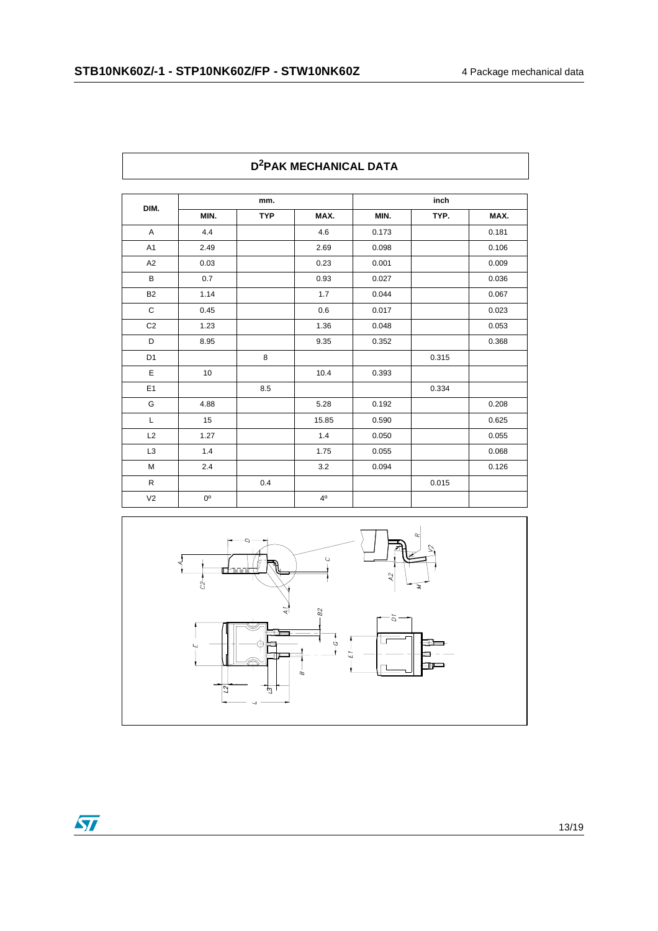| DIM.           |             | mm.        |                |       | inch  |       |
|----------------|-------------|------------|----------------|-------|-------|-------|
|                | MIN.        | <b>TYP</b> | MAX.           | MIN.  | TYP.  | MAX.  |
| A              | 4.4         |            | 4.6            | 0.173 |       | 0.181 |
| A <sub>1</sub> | 2.49        |            | 2.69           | 0.098 |       | 0.106 |
| A <sub>2</sub> | 0.03        |            | 0.23           | 0.001 |       | 0.009 |
| B              | 0.7         |            | 0.93           | 0.027 |       | 0.036 |
| B <sub>2</sub> | 1.14        |            | 1.7            | 0.044 |       | 0.067 |
| C              | 0.45        |            | 0.6            | 0.017 |       | 0.023 |
| $\mbox{C2}$    | 1.23        |            | 1.36           | 0.048 |       | 0.053 |
| D              | 8.95        |            | 9.35           | 0.352 |       | 0.368 |
| D <sub>1</sub> |             | 8          |                |       | 0.315 |       |
| E              | 10          |            | 10.4           | 0.393 |       |       |
| E1             |             | 8.5        |                |       | 0.334 |       |
| G              | 4.88        |            | 5.28           | 0.192 |       | 0.208 |
| L              | 15          |            | 15.85          | 0.590 |       | 0.625 |
| L2             | 1.27        |            | 1.4            | 0.050 |       | 0.055 |
| L <sub>3</sub> | 1.4         |            | 1.75           | 0.055 |       | 0.068 |
| M              | 2.4         |            | 3.2            | 0.094 |       | 0.126 |
| $\mathsf R$    |             | 0.4        |                |       | 0.015 |       |
| V <sub>2</sub> | $0^{\circ}$ |            | 4 <sup>0</sup> |       |       |       |

#### **TO-247 MECHANICAL DATA D2PAK MECHANICAL DATA**



 $\overline{\mathbf{S}}$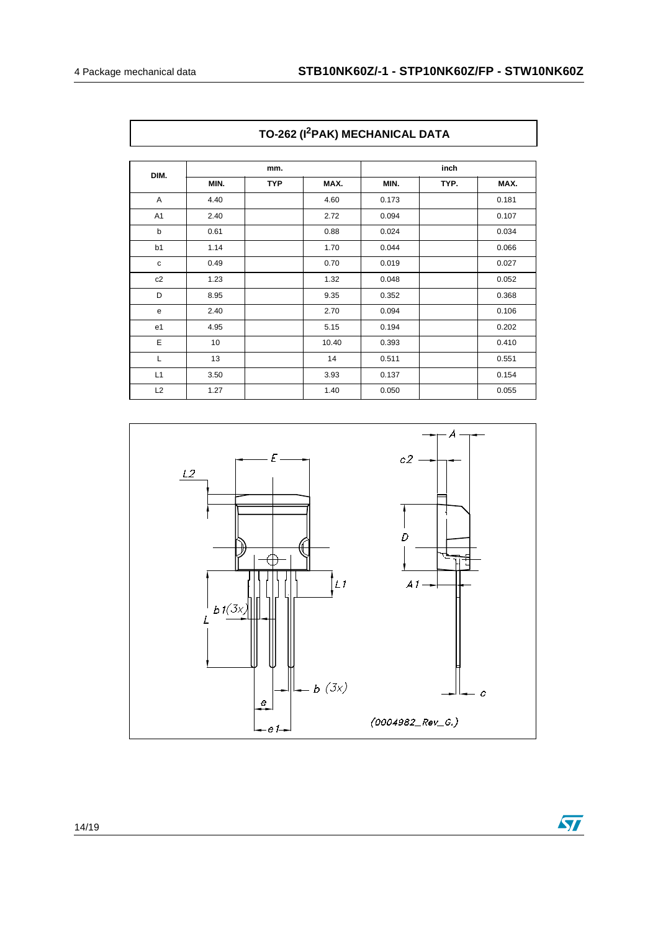| DIM.           | mm.  |            |       | inch  |      |       |
|----------------|------|------------|-------|-------|------|-------|
|                | MIN. | <b>TYP</b> | MAX.  | MIN.  | TYP. | MAX.  |
| A              | 4.40 |            | 4.60  | 0.173 |      | 0.181 |
| A <sub>1</sub> | 2.40 |            | 2.72  | 0.094 |      | 0.107 |
| b              | 0.61 |            | 0.88  | 0.024 |      | 0.034 |
| b1             | 1.14 |            | 1.70  | 0.044 |      | 0.066 |
| $\mathbf c$    | 0.49 |            | 0.70  | 0.019 |      | 0.027 |
| c2             | 1.23 |            | 1.32  | 0.048 |      | 0.052 |
| D              | 8.95 |            | 9.35  | 0.352 |      | 0.368 |
| e              | 2.40 |            | 2.70  | 0.094 |      | 0.106 |
| e1             | 4.95 |            | 5.15  | 0.194 |      | 0.202 |
| Е              | 10   |            | 10.40 | 0.393 |      | 0.410 |
| L              | 13   |            | 14    | 0.511 |      | 0.551 |
| L1             | 3.50 |            | 3.93  | 0.137 |      | 0.154 |
| L2             | 1.27 |            | 1.40  | 0.050 |      | 0.055 |

**TO-262 (I2PAK) MECHANICAL DATA**



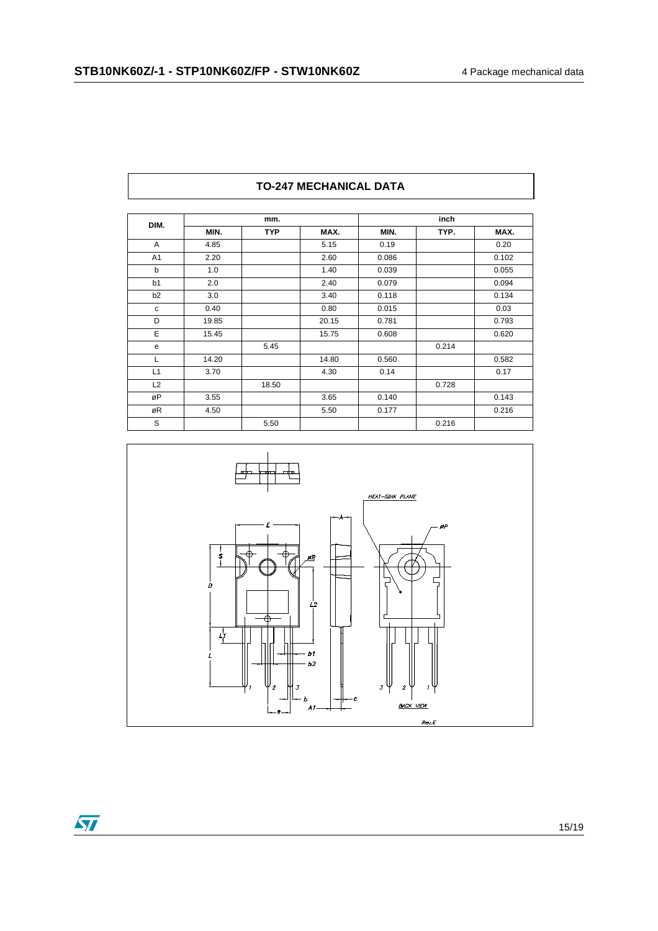| DIM.           | mm.   |            |       | inch  |       |       |
|----------------|-------|------------|-------|-------|-------|-------|
|                | MIN.  | <b>TYP</b> | MAX.  | MIN.  | TYP.  | MAX.  |
| A              | 4.85  |            | 5.15  | 0.19  |       | 0.20  |
| A1             | 2.20  |            | 2.60  | 0.086 |       | 0.102 |
| b              | 1.0   |            | 1.40  | 0.039 |       | 0.055 |
| b1             | 2.0   |            | 2.40  | 0.079 |       | 0.094 |
| b <sub>2</sub> | 3.0   |            | 3.40  | 0.118 |       | 0.134 |
| C              | 0.40  |            | 0.80  | 0.015 |       | 0.03  |
| D              | 19.85 |            | 20.15 | 0.781 |       | 0.793 |
| E              | 15.45 |            | 15.75 | 0.608 |       | 0.620 |
| e              |       | 5.45       |       |       | 0.214 |       |
|                | 14.20 |            | 14.80 | 0.560 |       | 0.582 |
| L1             | 3.70  |            | 4.30  | 0.14  |       | 0.17  |
| L2             |       | 18.50      |       |       | 0.728 |       |
| øP             | 3.55  |            | 3.65  | 0.140 |       | 0.143 |
| øR             | 4.50  |            | 5.50  | 0.177 |       | 0.216 |
| S              |       | 5.50       |       |       | 0.216 |       |

#### **TO-247 MECHANICAL DATA**



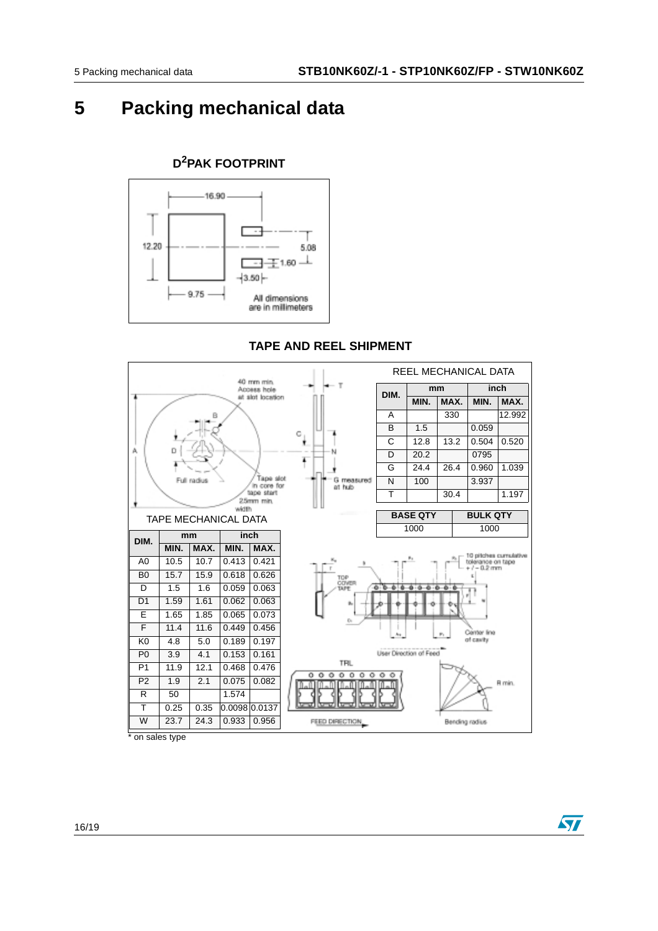ST

### **5 Packing mechanical data**



### **D2PAK FOOTPRINT**

#### **TAPE AND REEL SHIPMENT**



on sales type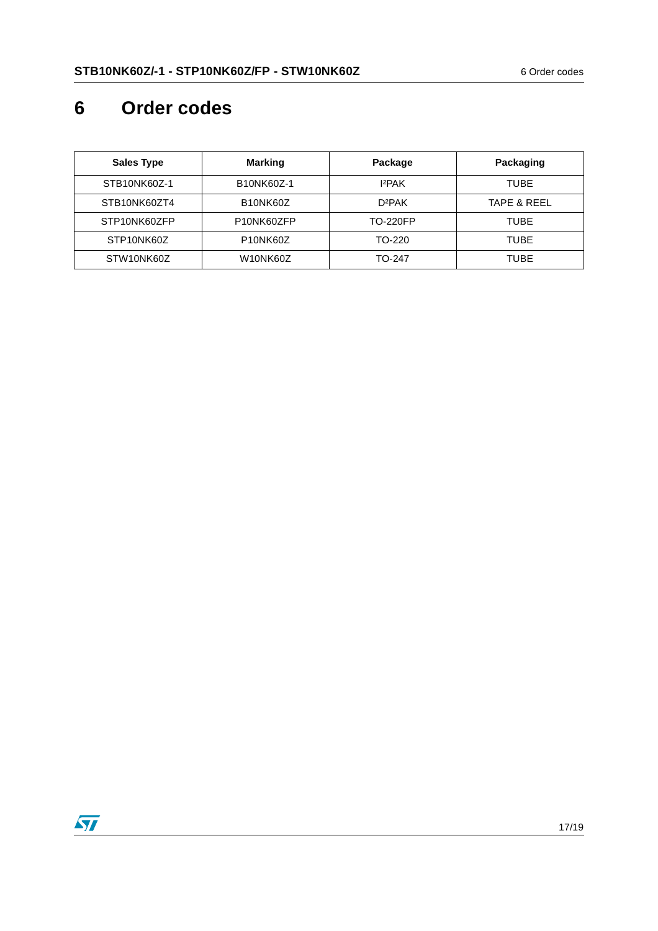# **6 Order codes**

| <b>Sales Type</b> | <b>Marking</b>                     | Package            | Packaging              |
|-------------------|------------------------------------|--------------------|------------------------|
| STB10NK60Z-1      | B10NK60Z-1                         | 12PAK              | TUBE                   |
| STB10NK60ZT4      | B <sub>10</sub> NK <sub>60</sub> Z | D <sub>2</sub> PAK | <b>TAPE &amp; REEL</b> |
| STP10NK60ZFP      | P <sub>10</sub> NK60ZFP            | <b>TO-220FP</b>    | TUBE                   |
| STP10NK60Z        | P <sub>10</sub> NK <sub>60</sub> Z | TO-220             | TUBE                   |
| STW10NK60Z        | W10NK60Z                           | TO-247             | TUBE                   |

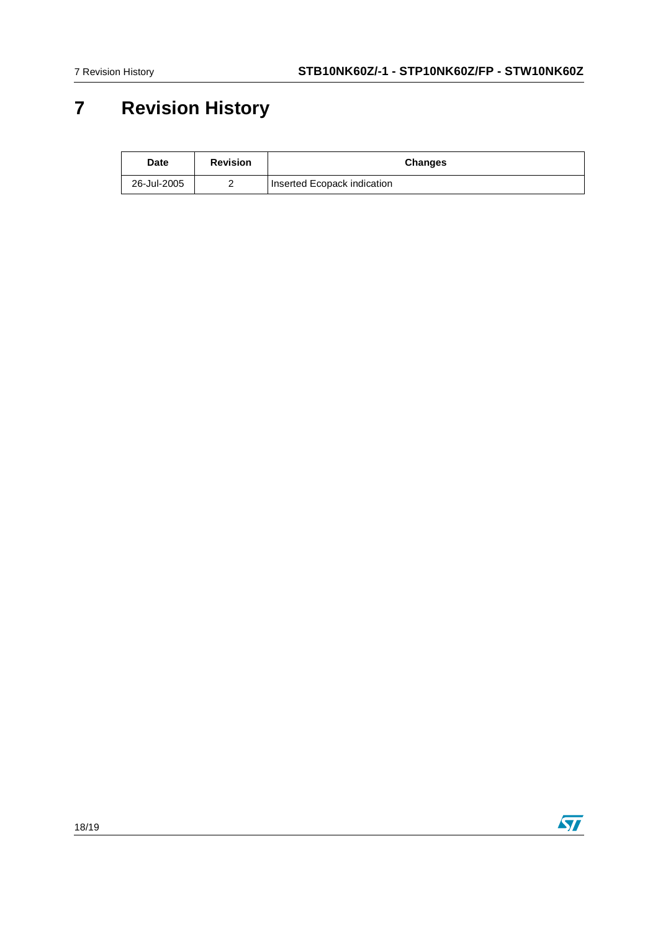# **7 Revision History**

| Date        | <b>Revision</b> | <b>Changes</b>              |
|-------------|-----------------|-----------------------------|
| 26-Jul-2005 |                 | Inserted Ecopack indication |

18/19